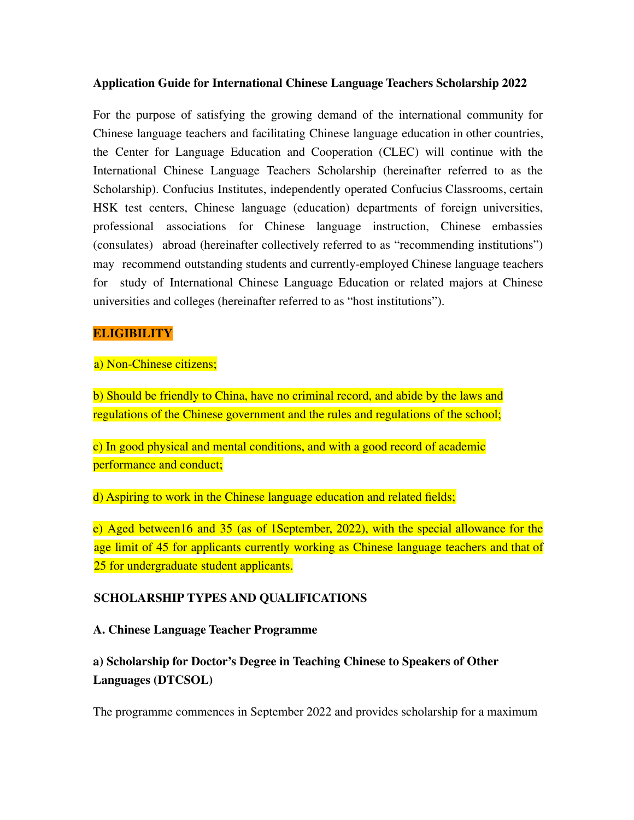#### **Application Guide for International Chinese Language Teachers Scholarship 2022**

For the purpose of satisfying the growing demand of the international community for Chinese language teachers and facilitating Chinese language education in other countries, the Center for Language Education and Cooperation (CLEC) will continue with the International Chinese Language Teachers Scholarship (hereinafter referred to as the Scholarship). Confucius Institutes, independently operated Confucius Classrooms, certain HSK test centers, Chinese language (education) departments of foreign universities, professional associations for Chinese language instruction, Chinese embassies (consulates) abroad (hereinafter collectively referred to as "recommending institutions") may recommend outstanding students and currently-employed Chinese language teachers for study of International Chinese Language Education or related majors at Chinese universities and colleges (hereinafter referred to as "host institutions").

### **ELIGIBILITY**

a) Non-Chinese citizens;

b) Should be friendly to China, have no criminal record, and abide by the laws and regulations of the Chinese government and the rules and regulations of the school;

c) In good physical and mental conditions, and with a good record of academic performance and conduct;

d) Aspiring to work in the Chinese language education and related fields;

e) Aged between16 and 35 (as of 1September, 2022), with the special allowance for the age limit of 45 for applicants currently working as Chinese language teachers and that of 25 for undergraduate student applicants.

### **SCHOLARSHIP TYPES AND QUALIFICATIONS**

**A. Chinese Language Teacher Programme**

## **a) Scholarship for Doctor's Degree in Teaching Chinese to Speakers of Other Languages (DTCSOL)**

The programme commences in September 2022 and provides scholarship for a maximum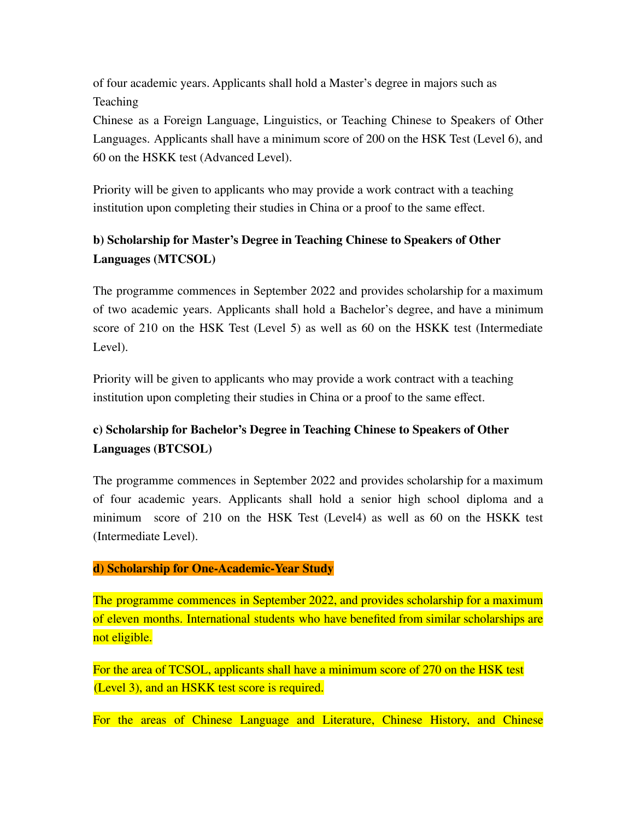of four academic years. Applicants shall hold a Master's degree in majors such as **Teaching** 

Chinese as a Foreign Language, Linguistics, or Teaching Chinese to Speakers of Other Languages. Applicants shall have a minimum score of 200 on the HSK Test (Level 6), and 60 on the HSKK test (Advanced Level).

Priority will be given to applicants who may provide a work contract with a teaching institution upon completing their studies in China or a proof to the same effect.

# **b) Scholarship for Master's Degree in Teaching Chinese to Speakers of Other Languages (MTCSOL)**

The programme commences in September 2022 and provides scholarship for a maximum of two academic years. Applicants shall hold a Bachelor's degree, and have a minimum score of 210 on the HSK Test (Level 5) as well as 60 on the HSKK test (Intermediate Level).

Priority will be given to applicants who may provide a work contract with a teaching institution upon completing their studies in China or a proof to the same effect.

# **c) Scholarship for Bachelor's Degree in Teaching Chinese to Speakers of Other Languages (BTCSOL)**

The programme commences in September 2022 and provides scholarship for a maximum of four academic years. Applicants shall hold a senior high school diploma and a minimum score of 210 on the HSK Test (Level4) as well as 60 on the HSKK test (Intermediate Level).

## **d) Scholarship for One-Academic-Year Study**

The programme commences in September 2022, and provides scholarship for a maximum of eleven months. International students who have benefited from similar scholarships are not eligible.

For the area of TCSOL, applicants shall have a minimum score of 270 on the HSK test (Level 3), and an HSKK test score is required.

For the areas of Chinese Language and Literature, Chinese History, and Chinese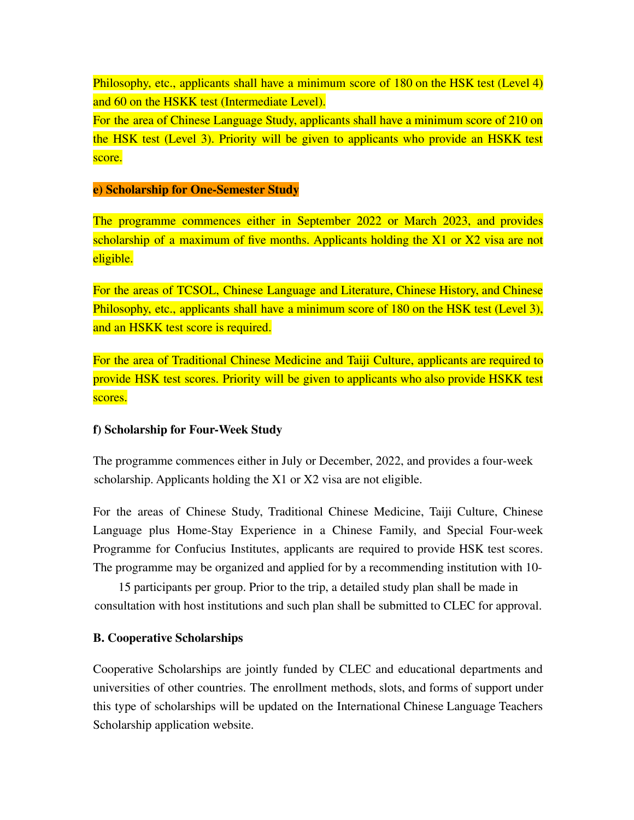Philosophy, etc., applicants shall have a minimum score of 180 on the HSK test (Level 4) and 60 on the HSKK test (Intermediate Level).

For the area of Chinese Language Study, applicants shall have a minimum score of 210 on the HSK test (Level 3). Priority will be given to applicants who provide an HSKK test score.

#### **e) Scholarship for One-Semester Study**

The programme commences either in September 2022 or March 2023, and provides scholarship of a maximum of five months. Applicants holding the X1 or X2 visa are not eligible.

For the areas of TCSOL, Chinese Language and Literature, Chinese History, and Chinese Philosophy, etc., applicants shall have a minimum score of 180 on the HSK test (Level 3), and an HSKK test score is required.

For the area of Traditional Chinese Medicine and Taiji Culture, applicants are required to provide HSK test scores. Priority will be given to applicants who also provide HSKK test scores.

### **f) Scholarship for Four-Week Study**

The programme commences either in July or December, 2022, and provides a four-week scholarship. Applicants holding the X1 or X2 visa are not eligible.

For the areas of Chinese Study, Traditional Chinese Medicine, Taiji Culture, Chinese Language plus Home-Stay Experience in a Chinese Family, and Special Four-week Programme for Confucius Institutes, applicants are required to provide HSK test scores. The programme may be organized and applied for by a recommending institution with 10-

15 participants per group. Prior to the trip, a detailed study plan shall be made in consultation with host institutions and such plan shall be submitted to CLEC for approval.

### **B. Cooperative Scholarships**

Cooperative Scholarships are jointly funded by CLEC and educational departments and universities of other countries. The enrollment methods, slots, and forms of support under this type of scholarships will be updated on the International Chinese Language Teachers Scholarship application website.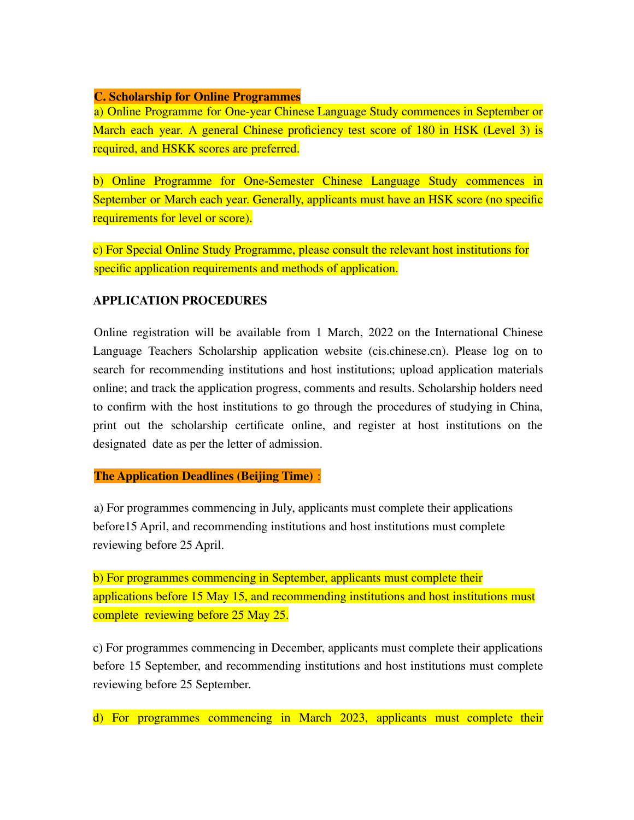#### **C. Scholarship for Online Programmes**

a) Online Programme for One-year Chinese Language Study commences in September or March each year. A general Chinese proficiency test score of 180 in HSK (Level 3) is required, and HSKK scores are preferred.

b) Online Programme for One-Semester Chinese Language Study commences in September or March each year. Generally, applicants must have an HSK score (no specific requirements for level or score).

c) For Special Online Study Programme, please consult the relevant host institutions for specific application requirements and methods of application.

### **APPLICATION PROCEDURES**

Online registration will be available from 1 March, 2022 on the International Chinese Language Teachers Scholarship application website (cis.chinese.cn). Please log on to search for recommending institutions and host institutions; upload application materials online; and track the application progress, comments and results. Scholarship holders need to confirm with the host institutions to go through the procedures of studying in China, print out the scholarship certificate online, and register at host institutions on the designated date as per the letter of admission.

**The Application Deadlines (Beijing Time)** :

a) For programmes commencing in July, applicants must complete their applications before15 April, and recommending institutions and host institutions must complete reviewing before 25 April.

b) For programmes commencing in September, applicants must complete their applications before 15 May 15, and recommending institutions and host institutions must complete reviewing before 25 May 25.

c) For programmes commencing in December, applicants must complete their applications before 15 September, and recommending institutions and host institutions must complete reviewing before 25 September.

d) For programmes commencing in March 2023, applicants must complete their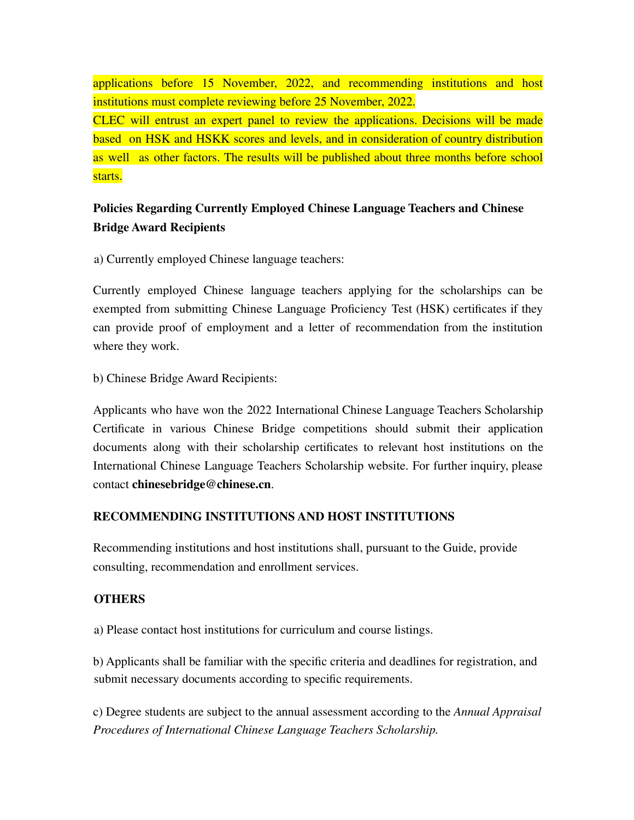applications before 15 November, 2022, and recommending institutions and host institutions must complete reviewing before 25 November, 2022.

CLEC will entrust an expert panel to review the applications. Decisions will be made based on HSK and HSKK scores and levels, and in consideration of country distribution as well as other factors. The results will be published about three months before school starts.

## **Policies Regarding Currently Employed Chinese Language Teachers and Chinese Bridge Award Recipients**

a) Currently employed Chinese language teachers:

Currently employed Chinese language teachers applying for the scholarships can be exempted from submitting Chinese Language Proficiency Test (HSK) certificates if they can provide proof of employment and a letter of recommendation from the institution where they work.

b) Chinese Bridge Award Recipients:

Applicants who have won the 2022 International Chinese Language Teachers Scholarship Certificate in various Chinese Bridge competitions should submit their application documents along with their scholarship certificates to relevant host institutions on the International Chinese Language Teachers Scholarship website. For further inquiry, please contact **chinesebridge@chinese.cn**.

## **RECOMMENDING INSTITUTIONS AND HOST INSTITUTIONS**

Recommending institutions and host institutions shall, pursuant to the Guide, provide consulting, recommendation and enrollment services.

### **OTHERS**

a) Please contact host institutions for curriculum and course listings.

b) Applicants shall be familiar with the specific criteria and deadlines for registration, and submit necessary documents according to specific requirements.

c) Degree students are subject to the annual assessment according to the *Annual Appraisal Procedures of International Chinese Language Teachers Scholarship.*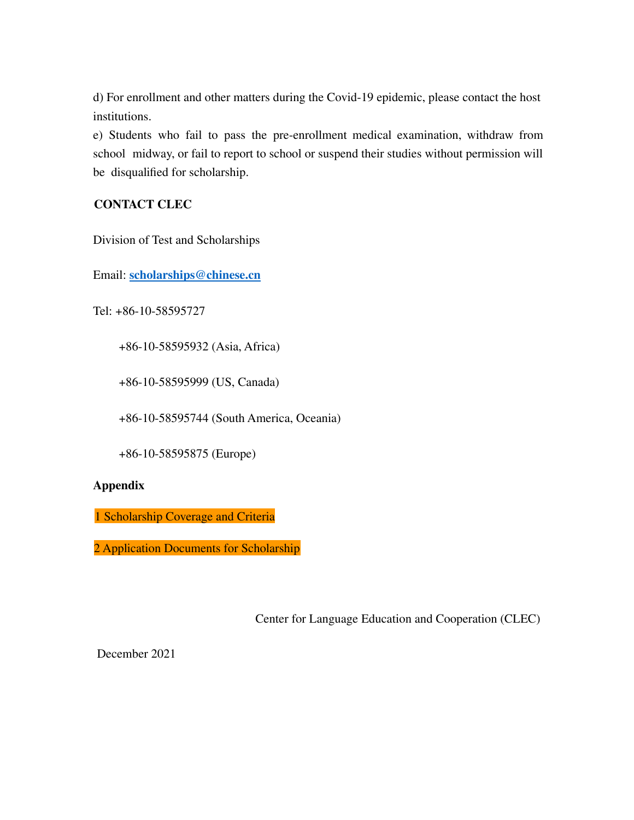d) For enrollment and other matters during the Covid-19 epidemic, please contact the host institutions.

e) Students who fail to pass the pre-enrollment medical examination, withdraw from school midway, or fail to report to school or suspend their studies without permission will be disqualified for scholarship.

### **CONTACT CLEC**

Division of Test and Scholarships

Email: **scholarships@chinese.cn**

Tel: +86-10-58595727

+86-10-58595932 (Asia, Africa)

+86-10-58595999 (US, Canada)

+86-10-58595744 (South America, Oceania)

+86-10-58595875 (Europe)

#### **Appendix**

1 Scholarship Coverage and Criteria

2 Application Documents for Scholarship

Center for Language Education and Cooperation (CLEC)

December 2021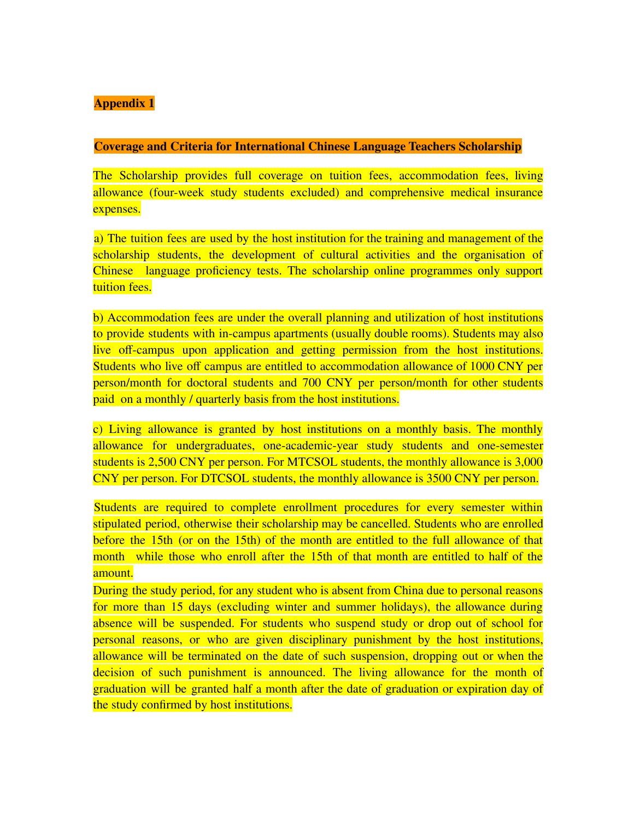#### **Appendix 1**

#### **Coverage and Criteria for International Chinese Language Teachers Scholarship**

The Scholarship provides full coverage on tuition fees, accommodation fees, living allowance (four-week study students excluded) and comprehensive medical insurance expenses.

a) The tuition fees are used by the host institution for the training and management of the scholarship students, the development of cultural activities and the organisation of Chinese language proficiency tests. The scholarship online programmes only support tuition fees.

b) Accommodation fees are under the overall planning and utilization of host institutions to provide students with in-campus apartments (usually double rooms). Students may also live off-campus upon application and getting permission from the host institutions. Students who live off campus are entitled to accommodation allowance of 1000 CNY per person/month for doctoral students and 700 CNY per person/month for other students paid on a monthly / quarterly basis from the host institutions.

c) Living allowance is granted by host institutions on a monthly basis. The monthly allowance for undergraduates, one-academic-year study students and one-semester students is 2,500 CNY per person. For MTCSOL students, the monthly allowance is 3,000 CNY per person. For DTCSOL students, the monthly allowance is 3500 CNY per person.

Students are required to complete enrollment procedures for every semester within stipulated period, otherwise their scholarship may be cancelled. Students who are enrolled before the 15th (or on the 15th) of the month are entitled to the full allowance of that month while those who enroll after the 15th of that month are entitled to half of the amount.

During the study period, for any student who is absent from China due to personal reasons for more than 15 days (excluding winter and summer holidays), the allowance during absence will be suspended. For students who suspend study or drop out of school for personal reasons, or who are given disciplinary punishment by the host institutions, allowance will be terminated on the date of such suspension, dropping out or when the decision of such punishment is announced. The living allowance for the month of graduation will be granted half a month after the date of graduation or expiration day of the study confirmed by host institutions.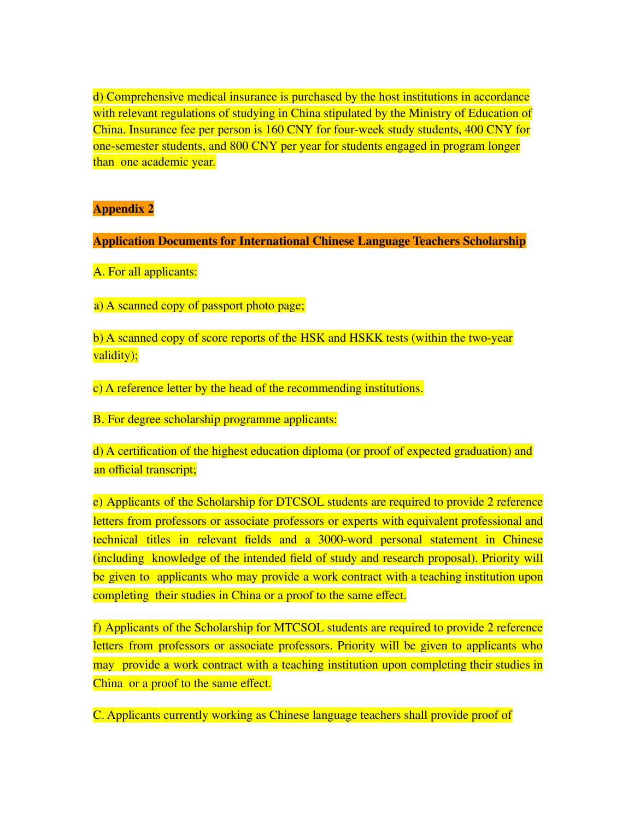d) Comprehensive medical insurance is purchased by the host institutions in accordance with relevant regulations of studying in China stipulated by the Ministry of Education of China. Insurance fee per person is 160 CNY for four-week study students, 400 CNY for one-semester students, and 800 CNY per year for students engaged in program longer than one academic year.

### **Appendix 2**

**Application Documents for International Chinese Language Teachers Scholarship**

A. For all applicants:

a) A scanned copy of passport photo page;

b) A scanned copy of score reports of the HSK and HSKK tests (within the two-year validity);

c) A reference letter by the head of the recommending institutions.

B. For degree scholarship programme applicants:

d) A certification of the highest education diploma (or proof of expected graduation) and an official transcript;

e) Applicants of the Scholarship for DTCSOL students are required to provide 2 reference letters from professors or associate professors or experts with equivalent professional and technical titles in relevant fields and a 3000-word personal statement in Chinese (including knowledge of the intended field of study and research proposal). Priority will be given to applicants who may provide a work contract with a teaching institution upon completing their studies in China or a proof to the same effect.

f) Applicants of the Scholarship for MTCSOL students are required to provide 2 reference letters from professors or associate professors. Priority will be given to applicants who may provide a work contract with a teaching institution upon completing their studies in China or a proof to the same effect.

C. Applicants currently working as Chinese language teachers shall provide proof of